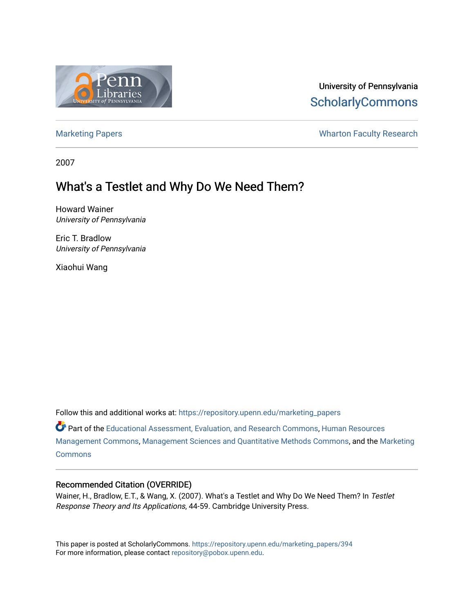

# University of Pennsylvania **ScholarlyCommons**

[Marketing Papers](https://repository.upenn.edu/marketing_papers) **Marketing Papers Marketing Papers Wharton Faculty Research** 

2007

# What's a Testlet and Why Do We Need Them?

Howard Wainer University of Pennsylvania

Eric T. Bradlow University of Pennsylvania

Xiaohui Wang

Follow this and additional works at: [https://repository.upenn.edu/marketing\\_papers](https://repository.upenn.edu/marketing_papers?utm_source=repository.upenn.edu%2Fmarketing_papers%2F394&utm_medium=PDF&utm_campaign=PDFCoverPages)

Part of the [Educational Assessment, Evaluation, and Research Commons](http://network.bepress.com/hgg/discipline/796?utm_source=repository.upenn.edu%2Fmarketing_papers%2F394&utm_medium=PDF&utm_campaign=PDFCoverPages), [Human Resources](http://network.bepress.com/hgg/discipline/633?utm_source=repository.upenn.edu%2Fmarketing_papers%2F394&utm_medium=PDF&utm_campaign=PDFCoverPages) [Management Commons](http://network.bepress.com/hgg/discipline/633?utm_source=repository.upenn.edu%2Fmarketing_papers%2F394&utm_medium=PDF&utm_campaign=PDFCoverPages), [Management Sciences and Quantitative Methods Commons,](http://network.bepress.com/hgg/discipline/637?utm_source=repository.upenn.edu%2Fmarketing_papers%2F394&utm_medium=PDF&utm_campaign=PDFCoverPages) and the [Marketing](http://network.bepress.com/hgg/discipline/638?utm_source=repository.upenn.edu%2Fmarketing_papers%2F394&utm_medium=PDF&utm_campaign=PDFCoverPages)  **[Commons](http://network.bepress.com/hgg/discipline/638?utm_source=repository.upenn.edu%2Fmarketing_papers%2F394&utm_medium=PDF&utm_campaign=PDFCoverPages)** 

## Recommended Citation (OVERRIDE)

Wainer, H., Bradlow, E.T., & Wang, X. (2007). What's a Testlet and Why Do We Need Them? In Testlet Response Theory and Its Applications, 44-59. Cambridge University Press.

This paper is posted at ScholarlyCommons. [https://repository.upenn.edu/marketing\\_papers/394](https://repository.upenn.edu/marketing_papers/394)  For more information, please contact [repository@pobox.upenn.edu.](mailto:repository@pobox.upenn.edu)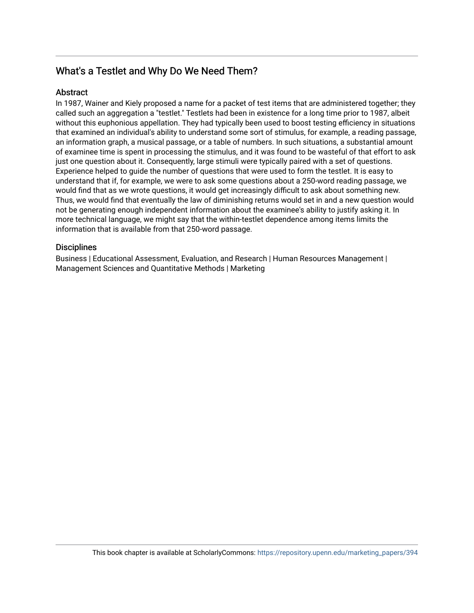## What's a Testlet and Why Do We Need Them?

## Abstract

In 1987, Wainer and Kiely proposed a name for a packet of test items that are administered together; they called such an aggregation a "testlet." Testlets had been in existence for a long time prior to 1987, albeit without this euphonious appellation. They had typically been used to boost testing efficiency in situations that examined an individual's ability to understand some sort of stimulus, for example, a reading passage, an information graph, a musical passage, or a table of numbers. In such situations, a substantial amount of examinee time is spent in processing the stimulus, and it was found to be wasteful of that effort to ask just one question about it. Consequently, large stimuli were typically paired with a set of questions. Experience helped to guide the number of questions that were used to form the testlet. It is easy to understand that if, for example, we were to ask some questions about a 250-word reading passage, we would find that as we wrote questions, it would get increasingly difficult to ask about something new. Thus, we would find that eventually the law of diminishing returns would set in and a new question would not be generating enough independent information about the examinee's ability to justify asking it. In more technical language, we might say that the within-testlet dependence among items limits the information that is available from that 250-word passage.

## **Disciplines**

Business | Educational Assessment, Evaluation, and Research | Human Resources Management | Management Sciences and Quantitative Methods | Marketing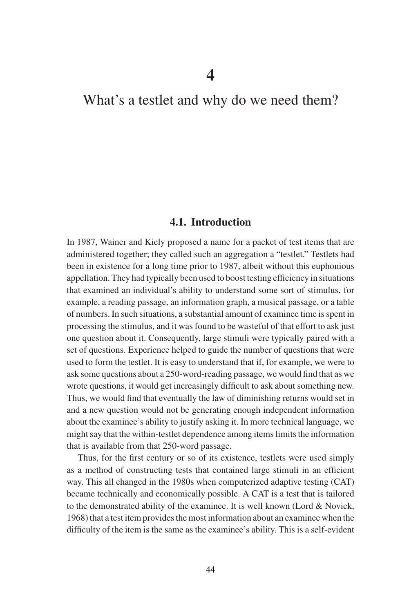## What's a testlet and why do we need them?

#### **4.1. Introduction**

In 1987, Wainer and Kiely proposed a name for a packet of test items that are administered together; they called such an aggregation a "testlet." Testlets had been in existence for a long time prior to 1987, albeit without this euphonious appellation. They had typically been used to boost testing efficiency in situations that examined an individual's ability to understand some sort of stimulus, for example, a reading passage, an information graph, a musical passage, or a table of numbers. In such situations, a substantial amount of examinee time is spent in processing the stimulus, and it was found to be wasteful of that effort to ask just one question about it. Consequently, large stimuli were typically paired with a set of questions. Experience helped to guide the number of questions that were used to form the testlet. It is easy to understand that if, for example, we were to ask some questions about a 250-word-reading passage, we would find that as we wrote questions, it would get increasingly difficult to ask about something new. Thus, we would find that eventually the law of diminishing returns would set in and a new question would not be generating enough independent information about the examinee's ability to justify asking it. In more technical language, we might say that the within-testlet dependence among items limits the information that is available from that 250-word passage.

Thus, for the first century or so of its existence, testlets were used simply as a method of constructing tests that contained large stimuli in an efficient way. This all changed in the 1980s when computerized adaptive testing (CAT) became technically and economically possible. A CAT is a test that is tailored to the demonstrated ability of the examinee. It is well known (Lord & Novick, 1968) that a test item provides the most information about an examinee when the difficulty of the item is the same as the examinee's ability. This is a self-evident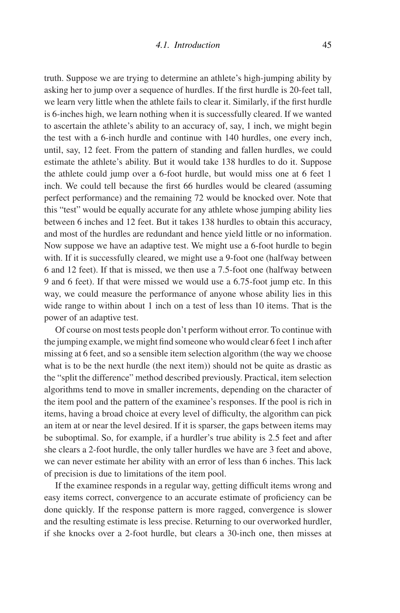truth. Suppose we are trying to determine an athlete's high-jumping ability by asking her to jump over a sequence of hurdles. If the first hurdle is 20-feet tall, we learn very little when the athlete fails to clear it. Similarly, if the first hurdle is 6-inches high, we learn nothing when it is successfully cleared. If we wanted to ascertain the athlete's ability to an accuracy of, say, 1 inch, we might begin the test with a 6-inch hurdle and continue with 140 hurdles, one every inch, until, say, 12 feet. From the pattern of standing and fallen hurdles, we could estimate the athlete's ability. But it would take 138 hurdles to do it. Suppose the athlete could jump over a 6-foot hurdle, but would miss one at 6 feet 1 inch. We could tell because the first 66 hurdles would be cleared (assuming perfect performance) and the remaining 72 would be knocked over. Note that this "test" would be equally accurate for any athlete whose jumping ability lies between 6 inches and 12 feet. But it takes 138 hurdles to obtain this accuracy, and most of the hurdles are redundant and hence yield little or no information. Now suppose we have an adaptive test. We might use a 6-foot hurdle to begin with. If it is successfully cleared, we might use a 9-foot one (halfway between 6 and 12 feet). If that is missed, we then use a 7.5-foot one (halfway between 9 and 6 feet). If that were missed we would use a 6.75-foot jump etc. In this way, we could measure the performance of anyone whose ability lies in this wide range to within about 1 inch on a test of less than 10 items. That is the power of an adaptive test.

Of course on most tests people don't perform without error. To continue with the jumping example, we might find someone who would clear 6 feet 1 inch after missing at 6 feet, and so a sensible item selection algorithm (the way we choose what is to be the next hurdle (the next item)) should not be quite as drastic as the "split the difference" method described previously. Practical, item selection algorithms tend to move in smaller increments, depending on the character of the item pool and the pattern of the examinee's responses. If the pool is rich in items, having a broad choice at every level of difficulty, the algorithm can pick an item at or near the level desired. If it is sparser, the gaps between items may be suboptimal. So, for example, if a hurdler's true ability is 2.5 feet and after she clears a 2-foot hurdle, the only taller hurdles we have are 3 feet and above, we can never estimate her ability with an error of less than 6 inches. This lack of precision is due to limitations of the item pool.

If the examinee responds in a regular way, getting difficult items wrong and easy items correct, convergence to an accurate estimate of proficiency can be done quickly. If the response pattern is more ragged, convergence is slower and the resulting estimate is less precise. Returning to our overworked hurdler, if she knocks over a 2-foot hurdle, but clears a 30-inch one, then misses at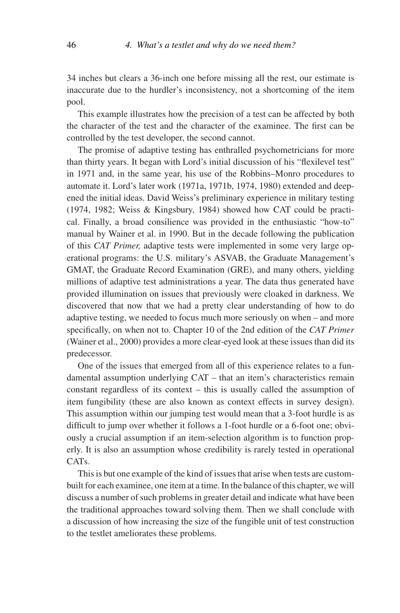34 inches but clears a 36-inch one before missing all the rest, our estimate is inaccurate due to the hurdler's inconsistency, not a shortcoming of the item pool.

This example illustrates how the precision of a test can be affected by both the character of the test and the character of the examinee. The first can be controlled by the test developer, the second cannot.

The promise of adaptive testing has enthralled psychometricians for more than thirty years. It began with Lord's initial discussion of his "flexilevel test" in 1971 and, in the same year, his use of the Robbins–Monro procedures to automate it. Lord's later work (1971a, 1971b, 1974, 1980) extended and deepened the initial ideas. David Weiss's preliminary experience in military testing (1974, 1982; Weiss & Kingsbury, 1984) showed how CAT could be practical. Finally, a broad consilience was provided in the enthusiastic "how-to" manual by Wainer et al. in 1990. But in the decade following the publication of this *CAT Primer,* adaptive tests were implemented in some very large operational programs: the U.S. military's ASVAB, the Graduate Management's GMAT, the Graduate Record Examination (GRE), and many others, yielding millions of adaptive test administrations a year. The data thus generated have provided illumination on issues that previously were cloaked in darkness. We discovered that now that we had a pretty clear understanding of how to do adaptive testing, we needed to focus much more seriously on when – and more specifically, on when not to. Chapter 10 of the 2nd edition of the *CAT Primer* (Wainer et al., 2000) provides a more clear-eyed look at these issues than did its predecessor.

One of the issues that emerged from all of this experience relates to a fundamental assumption underlying CAT – that an item's characteristics remain constant regardless of its context – this is usually called the assumption of item fungibility (these are also known as context effects in survey design). This assumption within our jumping test would mean that a 3-foot hurdle is as difficult to jump over whether it follows a 1-foot hurdle or a 6-foot one; obviously a crucial assumption if an item-selection algorithm is to function properly. It is also an assumption whose credibility is rarely tested in operational CATs.

This is but one example of the kind of issues that arise when tests are custombuilt for each examinee, one item at a time. In the balance of this chapter, we will discuss a number of such problems in greater detail and indicate what have been the traditional approaches toward solving them. Then we shall conclude with a discussion of how increasing the size of the fungible unit of test construction to the testlet ameliorates these problems.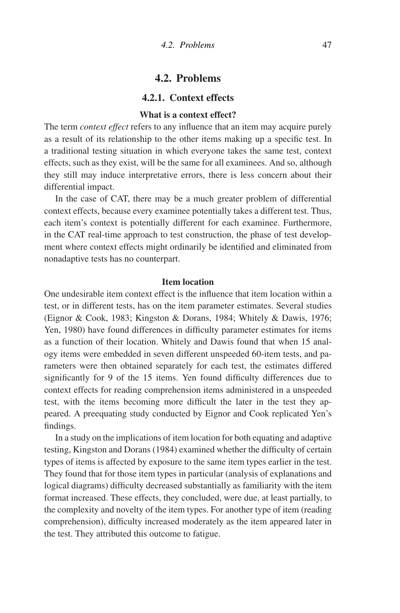#### **4.2. Problems**

#### **4.2.1. Context effects**

#### **What is a context effect?**

The term *context effect* refers to any influence that an item may acquire purely as a result of its relationship to the other items making up a specific test. In a traditional testing situation in which everyone takes the same test, context effects, such as they exist, will be the same for all examinees. And so, although they still may induce interpretative errors, there is less concern about their differential impact.

In the case of CAT, there may be a much greater problem of differential context effects, because every examinee potentially takes a different test. Thus, each item's context is potentially different for each examinee. Furthermore, in the CAT real-time approach to test construction, the phase of test development where context effects might ordinarily be identified and eliminated from nonadaptive tests has no counterpart.

#### **Item location**

One undesirable item context effect is the influence that item location within a test, or in different tests, has on the item parameter estimates. Several studies (Eignor & Cook, 1983; Kingston & Dorans, 1984; Whitely & Dawis, 1976; Yen, 1980) have found differences in difficulty parameter estimates for items as a function of their location. Whitely and Dawis found that when 15 analogy items were embedded in seven different unspeeded 60-item tests, and parameters were then obtained separately for each test, the estimates differed significantly for 9 of the 15 items. Yen found difficulty differences due to context effects for reading comprehension items administered in a unspeeded test, with the items becoming more difficult the later in the test they appeared. A preequating study conducted by Eignor and Cook replicated Yen's findings.

In a study on the implications of item location for both equating and adaptive testing, Kingston and Dorans (1984) examined whether the difficulty of certain types of items is affected by exposure to the same item types earlier in the test. They found that for those item types in particular (analysis of explanations and logical diagrams) difficulty decreased substantially as familiarity with the item format increased. These effects, they concluded, were due, at least partially, to the complexity and novelty of the item types. For another type of item (reading comprehension), difficulty increased moderately as the item appeared later in the test. They attributed this outcome to fatigue.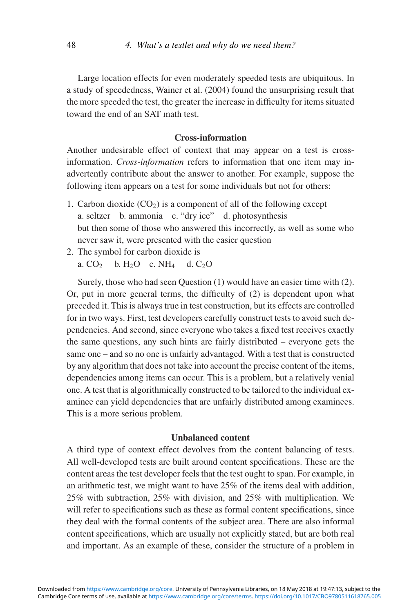Large location effects for even moderately speeded tests are ubiquitous. In a study of speededness, Wainer et al. (2004) found the unsurprising result that the more speeded the test, the greater the increase in difficulty for items situated toward the end of an SAT math test.

#### **Cross-information**

Another undesirable effect of context that may appear on a test is crossinformation. *Cross-information* refers to information that one item may inadvertently contribute about the answer to another. For example, suppose the following item appears on a test for some individuals but not for others:

- 1. Carbon dioxide  $(CO<sub>2</sub>)$  is a component of all of the following except a. seltzer b. ammonia c. "dry ice" d. photosynthesis but then some of those who answered this incorrectly, as well as some who never saw it, were presented with the easier question
- 2. The symbol for carbon dioxide is a.  $CO<sub>2</sub>$  b. H<sub>2</sub>O c. NH<sub>4</sub> d. C<sub>2</sub>O

Surely, those who had seen Question (1) would have an easier time with (2). Or, put in more general terms, the difficulty of (2) is dependent upon what preceded it. This is always true in test construction, but its effects are controlled for in two ways. First, test developers carefully construct tests to avoid such dependencies. And second, since everyone who takes a fixed test receives exactly the same questions, any such hints are fairly distributed – everyone gets the same one – and so no one is unfairly advantaged. With a test that is constructed by any algorithm that does not take into account the precise content of the items, dependencies among items can occur. This is a problem, but a relatively venial one. A test that is algorithmically constructed to be tailored to the individual examinee can yield dependencies that are unfairly distributed among examinees. This is a more serious problem.

#### **Unbalanced content**

A third type of context effect devolves from the content balancing of tests. All well-developed tests are built around content specifications. These are the content areas the test developer feels that the test ought to span. For example, in an arithmetic test, we might want to have 25% of the items deal with addition, 25% with subtraction, 25% with division, and 25% with multiplication. We will refer to specifications such as these as formal content specifications, since they deal with the formal contents of the subject area. There are also informal content specifications, which are usually not explicitly stated, but are both real and important. As an example of these, consider the structure of a problem in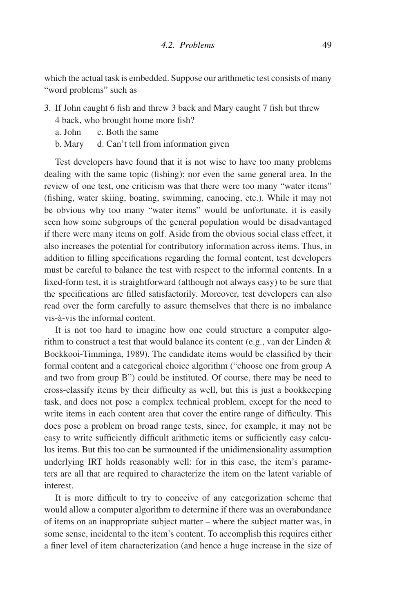which the actual task is embedded. Suppose our arithmetic test consists of many "word problems" such as

- 3. If John caught 6 fish and threw 3 back and Mary caught 7 fish but threw 4 back, who brought home more fish?
	- a. John c. Both the same
	- b. Mary d. Can't tell from information given

Test developers have found that it is not wise to have too many problems dealing with the same topic (fishing); nor even the same general area. In the review of one test, one criticism was that there were too many "water items" (fishing, water skiing, boating, swimming, canoeing, etc.). While it may not be obvious why too many "water items" would be unfortunate, it is easily seen how some subgroups of the general population would be disadvantaged if there were many items on golf. Aside from the obvious social class effect, it also increases the potential for contributory information across items. Thus, in addition to filling specifications regarding the formal content, test developers must be careful to balance the test with respect to the informal contents. In a fixed-form test, it is straightforward (although not always easy) to be sure that the specifications are filled satisfactorily. Moreover, test developers can also read over the form carefully to assure themselves that there is no imbalance vis-à-vis the informal content.

It is not too hard to imagine how one could structure a computer algorithm to construct a test that would balance its content (e.g., van der Linden & Boekkooi-Timminga, 1989). The candidate items would be classified by their formal content and a categorical choice algorithm ("choose one from group A and two from group B") could be instituted. Of course, there may be need to cross-classify items by their difficulty as well, but this is just a bookkeeping task, and does not pose a complex technical problem, except for the need to write items in each content area that cover the entire range of difficulty. This does pose a problem on broad range tests, since, for example, it may not be easy to write sufficiently difficult arithmetic items or sufficiently easy calculus items. But this too can be surmounted if the unidimensionality assumption underlying IRT holds reasonably well: for in this case, the item's parameters are all that are required to characterize the item on the latent variable of interest.

It is more difficult to try to conceive of any categorization scheme that would allow a computer algorithm to determine if there was an overabundance of items on an inappropriate subject matter – where the subject matter was, in some sense, incidental to the item's content. To accomplish this requires either a finer level of item characterization (and hence a huge increase in the size of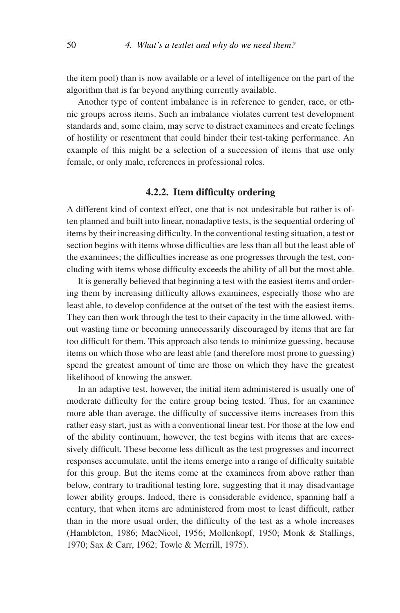the item pool) than is now available or a level of intelligence on the part of the algorithm that is far beyond anything currently available.

Another type of content imbalance is in reference to gender, race, or ethnic groups across items. Such an imbalance violates current test development standards and, some claim, may serve to distract examinees and create feelings of hostility or resentment that could hinder their test-taking performance. An example of this might be a selection of a succession of items that use only female, or only male, references in professional roles.

#### **4.2.2. Item difficulty ordering**

A different kind of context effect, one that is not undesirable but rather is often planned and built into linear, nonadaptive tests, is the sequential ordering of items by their increasing difficulty. In the conventional testing situation, a test or section begins with items whose difficulties are less than all but the least able of the examinees; the difficulties increase as one progresses through the test, concluding with items whose difficulty exceeds the ability of all but the most able.

It is generally believed that beginning a test with the easiest items and ordering them by increasing difficulty allows examinees, especially those who are least able, to develop confidence at the outset of the test with the easiest items. They can then work through the test to their capacity in the time allowed, without wasting time or becoming unnecessarily discouraged by items that are far too difficult for them. This approach also tends to minimize guessing, because items on which those who are least able (and therefore most prone to guessing) spend the greatest amount of time are those on which they have the greatest likelihood of knowing the answer.

In an adaptive test, however, the initial item administered is usually one of moderate difficulty for the entire group being tested. Thus, for an examinee more able than average, the difficulty of successive items increases from this rather easy start, just as with a conventional linear test. For those at the low end of the ability continuum, however, the test begins with items that are excessively difficult. These become less difficult as the test progresses and incorrect responses accumulate, until the items emerge into a range of difficulty suitable for this group. But the items come at the examinees from above rather than below, contrary to traditional testing lore, suggesting that it may disadvantage lower ability groups. Indeed, there is considerable evidence, spanning half a century, that when items are administered from most to least difficult, rather than in the more usual order, the difficulty of the test as a whole increases (Hambleton, 1986; MacNicol, 1956; Mollenkopf, 1950; Monk & Stallings, 1970; Sax & Carr, 1962; Towle & Merrill, 1975).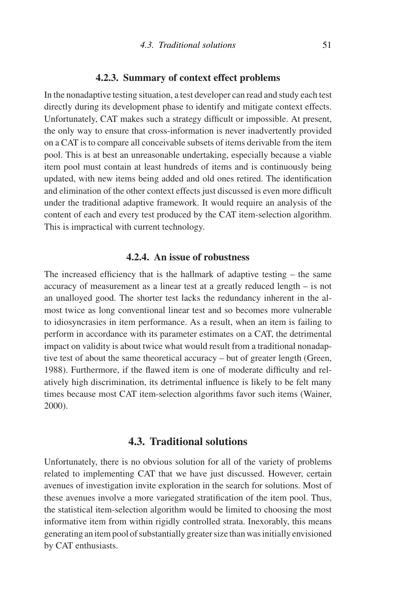#### **4.2.3. Summary of context effect problems**

In the nonadaptive testing situation, a test developer can read and study each test directly during its development phase to identify and mitigate context effects. Unfortunately, CAT makes such a strategy difficult or impossible. At present, the only way to ensure that cross-information is never inadvertently provided on a CAT is to compare all conceivable subsets of items derivable from the item pool. This is at best an unreasonable undertaking, especially because a viable item pool must contain at least hundreds of items and is continuously being updated, with new items being added and old ones retired. The identification and elimination of the other context effects just discussed is even more difficult under the traditional adaptive framework. It would require an analysis of the content of each and every test produced by the CAT item-selection algorithm. This is impractical with current technology.

#### **4.2.4. An issue of robustness**

The increased efficiency that is the hallmark of adaptive testing – the same accuracy of measurement as a linear test at a greatly reduced length – is not an unalloyed good. The shorter test lacks the redundancy inherent in the almost twice as long conventional linear test and so becomes more vulnerable to idiosyncrasies in item performance. As a result, when an item is failing to perform in accordance with its parameter estimates on a CAT, the detrimental impact on validity is about twice what would result from a traditional nonadaptive test of about the same theoretical accuracy – but of greater length (Green, 1988). Furthermore, if the flawed item is one of moderate difficulty and relatively high discrimination, its detrimental influence is likely to be felt many times because most CAT item-selection algorithms favor such items (Wainer, 2000).

#### **4.3. Traditional solutions**

Unfortunately, there is no obvious solution for all of the variety of problems related to implementing CAT that we have just discussed. However, certain avenues of investigation invite exploration in the search for solutions. Most of these avenues involve a more variegated stratification of the item pool. Thus, the statistical item-selection algorithm would be limited to choosing the most informative item from within rigidly controlled strata. Inexorably, this means generating an item pool of substantially greater size than was initially envisioned by CAT enthusiasts.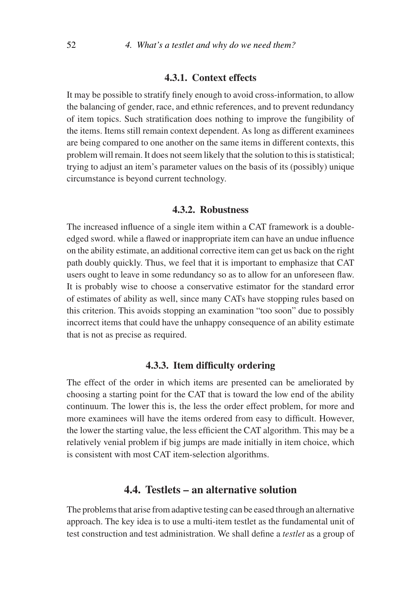#### **4.3.1. Context effects**

It may be possible to stratify finely enough to avoid cross-information, to allow the balancing of gender, race, and ethnic references, and to prevent redundancy of item topics. Such stratification does nothing to improve the fungibility of the items. Items still remain context dependent. As long as different examinees are being compared to one another on the same items in different contexts, this problem will remain. It does not seem likely that the solution to this is statistical; trying to adjust an item's parameter values on the basis of its (possibly) unique circumstance is beyond current technology.

#### **4.3.2. Robustness**

The increased influence of a single item within a CAT framework is a doubleedged sword. while a flawed or inappropriate item can have an undue influence on the ability estimate, an additional corrective item can get us back on the right path doubly quickly. Thus, we feel that it is important to emphasize that CAT users ought to leave in some redundancy so as to allow for an unforeseen flaw. It is probably wise to choose a conservative estimator for the standard error of estimates of ability as well, since many CATs have stopping rules based on this criterion. This avoids stopping an examination "too soon" due to possibly incorrect items that could have the unhappy consequence of an ability estimate that is not as precise as required.

#### **4.3.3. Item difficulty ordering**

The effect of the order in which items are presented can be ameliorated by choosing a starting point for the CAT that is toward the low end of the ability continuum. The lower this is, the less the order effect problem, for more and more examinees will have the items ordered from easy to difficult. However, the lower the starting value, the less efficient the CAT algorithm. This may be a relatively venial problem if big jumps are made initially in item choice, which is consistent with most CAT item-selection algorithms.

### **4.4. Testlets – an alternative solution**

The problems that arise from adaptive testing can be eased through an alternative approach. The key idea is to use a multi-item testlet as the fundamental unit of test construction and test administration. We shall define a *testlet* as a group of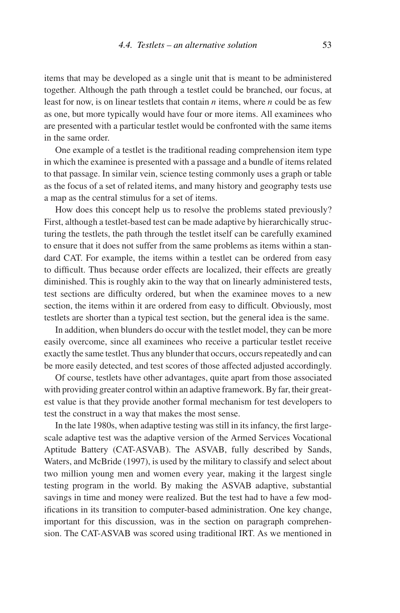items that may be developed as a single unit that is meant to be administered together. Although the path through a testlet could be branched, our focus, at least for now, is on linear testlets that contain *n* items, where *n* could be as few as one, but more typically would have four or more items. All examinees who are presented with a particular testlet would be confronted with the same items in the same order.

One example of a testlet is the traditional reading comprehension item type in which the examinee is presented with a passage and a bundle of items related to that passage. In similar vein, science testing commonly uses a graph or table as the focus of a set of related items, and many history and geography tests use a map as the central stimulus for a set of items.

How does this concept help us to resolve the problems stated previously? First, although a testlet-based test can be made adaptive by hierarchically structuring the testlets, the path through the testlet itself can be carefully examined to ensure that it does not suffer from the same problems as items within a standard CAT. For example, the items within a testlet can be ordered from easy to difficult. Thus because order effects are localized, their effects are greatly diminished. This is roughly akin to the way that on linearly administered tests, test sections are difficulty ordered, but when the examinee moves to a new section, the items within it are ordered from easy to difficult. Obviously, most testlets are shorter than a typical test section, but the general idea is the same.

In addition, when blunders do occur with the testlet model, they can be more easily overcome, since all examinees who receive a particular testlet receive exactly the same testlet. Thus any blunder that occurs, occurs repeatedly and can be more easily detected, and test scores of those affected adjusted accordingly.

Of course, testlets have other advantages, quite apart from those associated with providing greater control within an adaptive framework. By far, their greatest value is that they provide another formal mechanism for test developers to test the construct in a way that makes the most sense.

In the late 1980s, when adaptive testing was still in its infancy, the first largescale adaptive test was the adaptive version of the Armed Services Vocational Aptitude Battery (CAT-ASVAB). The ASVAB, fully described by Sands, Waters, and McBride (1997), is used by the military to classify and select about two million young men and women every year, making it the largest single testing program in the world. By making the ASVAB adaptive, substantial savings in time and money were realized. But the test had to have a few modifications in its transition to computer-based administration. One key change, important for this discussion, was in the section on paragraph comprehension. The CAT-ASVAB was scored using traditional IRT. As we mentioned in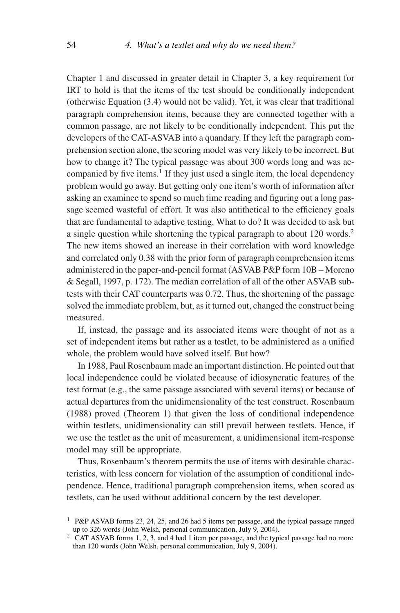Chapter 1 and discussed in greater detail in Chapter 3, a key requirement for IRT to hold is that the items of the test should be conditionally independent (otherwise Equation (3.4) would not be valid). Yet, it was clear that traditional paragraph comprehension items, because they are connected together with a common passage, are not likely to be conditionally independent. This put the developers of the CAT-ASVAB into a quandary. If they left the paragraph comprehension section alone, the scoring model was very likely to be incorrect. But how to change it? The typical passage was about 300 words long and was accompanied by five items.<sup>1</sup> If they just used a single item, the local dependency problem would go away. But getting only one item's worth of information after asking an examinee to spend so much time reading and figuring out a long passage seemed wasteful of effort. It was also antithetical to the efficiency goals that are fundamental to adaptive testing. What to do? It was decided to ask but a single question while shortening the typical paragraph to about 120 words.<sup>2</sup> The new items showed an increase in their correlation with word knowledge and correlated only 0.38 with the prior form of paragraph comprehension items administered in the paper-and-pencil format (ASVAB P&P form 10B – Moreno & Segall, 1997, p. 172). The median correlation of all of the other ASVAB subtests with their CAT counterparts was 0.72. Thus, the shortening of the passage solved the immediate problem, but, as it turned out, changed the construct being measured.

If, instead, the passage and its associated items were thought of not as a set of independent items but rather as a testlet, to be administered as a unified whole, the problem would have solved itself. But how?

In 1988, Paul Rosenbaum made an important distinction. He pointed out that local independence could be violated because of idiosyncratic features of the test format (e.g., the same passage associated with several items) or because of actual departures from the unidimensionality of the test construct. Rosenbaum (1988) proved (Theorem 1) that given the loss of conditional independence within testlets, unidimensionality can still prevail between testlets. Hence, if we use the testlet as the unit of measurement, a unidimensional item-response model may still be appropriate.

Thus, Rosenbaum's theorem permits the use of items with desirable characteristics, with less concern for violation of the assumption of conditional independence. Hence, traditional paragraph comprehension items, when scored as testlets, can be used without additional concern by the test developer.

<sup>&</sup>lt;sup>1</sup> P&P ASVAB forms 23, 24, 25, and 26 had 5 items per passage, and the typical passage ranged up to 326 words (John Welsh, personal communication, July 9, 2004).

<sup>&</sup>lt;sup>2</sup> CAT ASVAB forms 1, 2, 3, and 4 had 1 item per passage, and the typical passage had no more than 120 words (John Welsh, personal communication, July 9, 2004).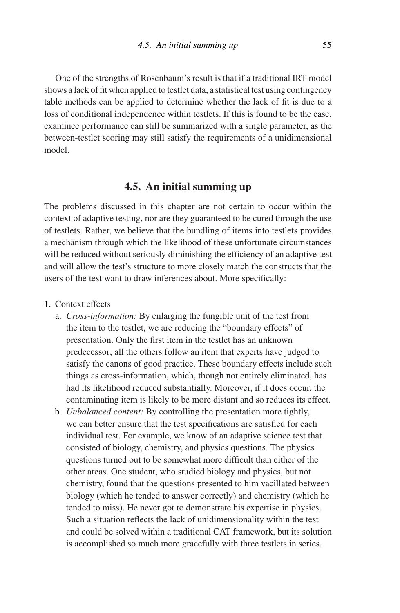One of the strengths of Rosenbaum's result is that if a traditional IRT model shows a lack of fit when applied to testlet data, a statistical test using contingency table methods can be applied to determine whether the lack of fit is due to a loss of conditional independence within testlets. If this is found to be the case, examinee performance can still be summarized with a single parameter, as the between-testlet scoring may still satisfy the requirements of a unidimensional model.

### **4.5. An initial summing up**

The problems discussed in this chapter are not certain to occur within the context of adaptive testing, nor are they guaranteed to be cured through the use of testlets. Rather, we believe that the bundling of items into testlets provides a mechanism through which the likelihood of these unfortunate circumstances will be reduced without seriously diminishing the efficiency of an adaptive test and will allow the test's structure to more closely match the constructs that the users of the test want to draw inferences about. More specifically:

- 1. Context effects
	- a. *Cross-information:* By enlarging the fungible unit of the test from the item to the testlet, we are reducing the "boundary effects" of presentation. Only the first item in the testlet has an unknown predecessor; all the others follow an item that experts have judged to satisfy the canons of good practice. These boundary effects include such things as cross-information, which, though not entirely eliminated, has had its likelihood reduced substantially. Moreover, if it does occur, the contaminating item is likely to be more distant and so reduces its effect.
	- b. *Unbalanced content:* By controlling the presentation more tightly, we can better ensure that the test specifications are satisfied for each individual test. For example, we know of an adaptive science test that consisted of biology, chemistry, and physics questions. The physics questions turned out to be somewhat more difficult than either of the other areas. One student, who studied biology and physics, but not chemistry, found that the questions presented to him vacillated between biology (which he tended to answer correctly) and chemistry (which he tended to miss). He never got to demonstrate his expertise in physics. Such a situation reflects the lack of unidimensionality within the test and could be solved within a traditional CAT framework, but its solution is accomplished so much more gracefully with three testlets in series.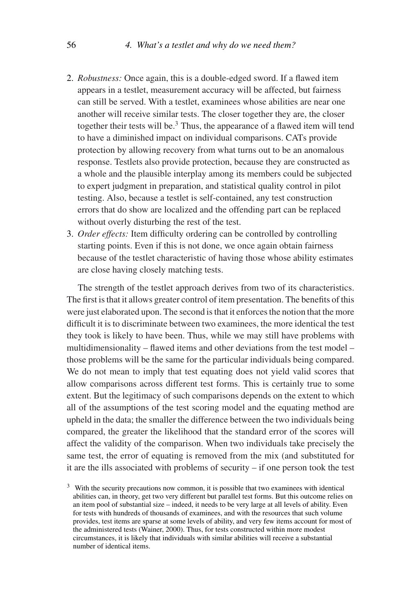- 2. *Robustness:* Once again, this is a double-edged sword. If a flawed item appears in a testlet, measurement accuracy will be affected, but fairness can still be served. With a testlet, examinees whose abilities are near one another will receive similar tests. The closer together they are, the closer together their tests will be.<sup>3</sup> Thus, the appearance of a flawed item will tend to have a diminished impact on individual comparisons. CATs provide protection by allowing recovery from what turns out to be an anomalous response. Testlets also provide protection, because they are constructed as a whole and the plausible interplay among its members could be subjected to expert judgment in preparation, and statistical quality control in pilot testing. Also, because a testlet is self-contained, any test construction errors that do show are localized and the offending part can be replaced without overly disturbing the rest of the test.
- 3. *Order effects:* Item difficulty ordering can be controlled by controlling starting points. Even if this is not done, we once again obtain fairness because of the testlet characteristic of having those whose ability estimates are close having closely matching tests.

The strength of the testlet approach derives from two of its characteristics. The first is that it allows greater control of item presentation. The benefits of this were just elaborated upon. The second is that it enforces the notion that the more difficult it is to discriminate between two examinees, the more identical the test they took is likely to have been. Thus, while we may still have problems with multidimensionality – flawed items and other deviations from the test model – those problems will be the same for the particular individuals being compared. We do not mean to imply that test equating does not yield valid scores that allow comparisons across different test forms. This is certainly true to some extent. But the legitimacy of such comparisons depends on the extent to which all of the assumptions of the test scoring model and the equating method are upheld in the data; the smaller the difference between the two individuals being compared, the greater the likelihood that the standard error of the scores will affect the validity of the comparison. When two individuals take precisely the same test, the error of equating is removed from the mix (and substituted for it are the ills associated with problems of security – if one person took the test

 $3\;\;$  With the security precautions now common, it is possible that two examinees with identical abilities can, in theory, get two very different but parallel test forms. But this outcome relies on an item pool of substantial size – indeed, it needs to be very large at all levels of ability. Even for tests with hundreds of thousands of examinees, and with the resources that such volume provides, test items are sparse at some levels of ability, and very few items account for most of the administered tests (Wainer, 2000). Thus, for tests constructed within more modest circumstances, it is likely that individuals with similar abilities will receive a substantial number of identical items.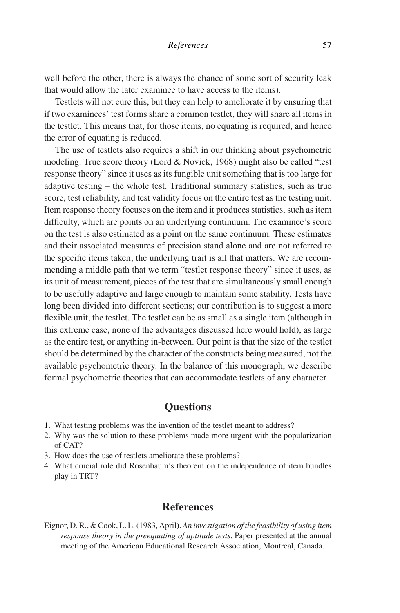#### *References* 57

well before the other, there is always the chance of some sort of security leak that would allow the later examinee to have access to the items).

Testlets will not cure this, but they can help to ameliorate it by ensuring that if two examinees' test forms share a common testlet, they will share all items in the testlet. This means that, for those items, no equating is required, and hence the error of equating is reduced.

The use of testlets also requires a shift in our thinking about psychometric modeling. True score theory (Lord & Novick, 1968) might also be called "test response theory" since it uses as its fungible unit something that is too large for adaptive testing – the whole test. Traditional summary statistics, such as true score, test reliability, and test validity focus on the entire test as the testing unit. Item response theory focuses on the item and it produces statistics, such as item difficulty, which are points on an underlying continuum. The examinee's score on the test is also estimated as a point on the same continuum. These estimates and their associated measures of precision stand alone and are not referred to the specific items taken; the underlying trait is all that matters. We are recommending a middle path that we term "testlet response theory" since it uses, as its unit of measurement, pieces of the test that are simultaneously small enough to be usefully adaptive and large enough to maintain some stability. Tests have long been divided into different sections; our contribution is to suggest a more flexible unit, the testlet. The testlet can be as small as a single item (although in this extreme case, none of the advantages discussed here would hold), as large as the entire test, or anything in-between. Our point is that the size of the testlet should be determined by the character of the constructs being measured, not the available psychometric theory. In the balance of this monograph, we describe formal psychometric theories that can accommodate testlets of any character.

#### **Questions**

- 1. What testing problems was the invention of the testlet meant to address?
- 2. Why was the solution to these problems made more urgent with the popularization of CAT?
- 3. How does the use of testlets ameliorate these problems?
- 4. What crucial role did Rosenbaum's theorem on the independence of item bundles play in TRT?

#### **References**

Eignor, D. R., & Cook, L. L. (1983, April). *An investigation of the feasibility of using item response theory in the preequating of aptitude tests*. Paper presented at the annual meeting of the American Educational Research Association, Montreal, Canada.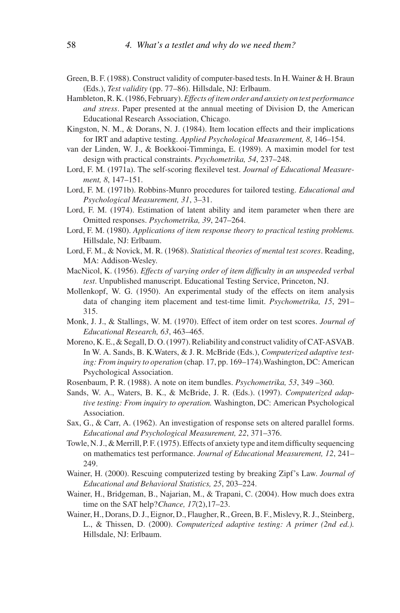- Green, B. F. (1988). Construct validity of computer-based tests. In H. Wainer & H. Braun (Eds.), *Test validity* (pp. 77–86). Hillsdale, NJ: Erlbaum.
- Hambleton, R. K. (1986, February). *Effects of item order and anxiety on test performance and stress*. Paper presented at the annual meeting of Division D, the American Educational Research Association, Chicago.
- Kingston, N. M., & Dorans, N. J. (1984). Item location effects and their implications for IRT and adaptive testing. *Applied Psychological Measurement, 8*, 146–154.
- van der Linden, W. J., & Boekkooi-Timminga, E. (1989). A maximin model for test design with practical constraints. *Psychometrika, 54*, 237–248.
- Lord, F. M. (1971a). The self-scoring flexilevel test. *Journal of Educational Measurement, 8*, 147–151.
- Lord, F. M. (1971b). Robbins-Munro procedures for tailored testing. *Educational and Psychological Measurement, 31*, 3–31.
- Lord, F. M. (1974). Estimation of latent ability and item parameter when there are Omitted responses. *Psychometrika, 39*, 247–264.
- Lord, F. M. (1980). *Applications of item response theory to practical testing problems.* Hillsdale, NJ: Erlbaum.
- Lord, F. M., & Novick, M. R. (1968). *Statistical theories of mental test scores*. Reading, MA: Addison-Wesley.
- MacNicol, K. (1956). *Effects of varying order of item difficulty in an unspeeded verbal test*. Unpublished manuscript. Educational Testing Service, Princeton, NJ.
- Mollenkopf, W. G. (1950). An experimental study of the effects on item analysis data of changing item placement and test-time limit. *Psychometrika, 15*, 291– 315.
- Monk, J. J., & Stallings, W. M. (1970). Effect of item order on test scores. *Journal of Educational Research, 63*, 463–465.
- Moreno, K. E., & Segall, D. O. (1997). Reliability and construct validity of CAT-ASVAB. In W. A. Sands, B. K.Waters, & J. R. McBride (Eds.), *Computerized adaptive testing: From inquiry to operation* (chap. 17, pp. 169–174).Washington, DC: American Psychological Association.
- Rosenbaum, P. R. (1988). A note on item bundles. *Psychometrika, 53*, 349 –360.
- Sands, W. A., Waters, B. K., & McBride, J. R. (Eds.). (1997). *Computerized adaptive testing: From inquiry to operation.* Washington, DC: American Psychological Association.
- Sax, G., & Carr, A. (1962). An investigation of response sets on altered parallel forms. *Educational and Psychological Measurement, 22*, 371–376.
- Towle, N. J., & Merrill, P. F. (1975). Effects of anxiety type and item difficulty sequencing on mathematics test performance. *Journal of Educational Measurement, 12*, 241– 249.
- Wainer, H. (2000). Rescuing computerized testing by breaking Zipf's Law. *Journal of Educational and Behavioral Statistics, 25*, 203–224.
- Wainer, H., Bridgeman, B., Najarian, M., & Trapani, C. (2004). How much does extra time on the SAT help?*Chance, 17*(2),17–23.
- Wainer, H., Dorans, D. J., Eignor, D., Flaugher, R., Green, B. F., Mislevy, R. J., Steinberg, L., & Thissen, D. (2000). *Computerized adaptive testing: A primer (2nd ed.).* Hillsdale, NJ: Erlbaum.